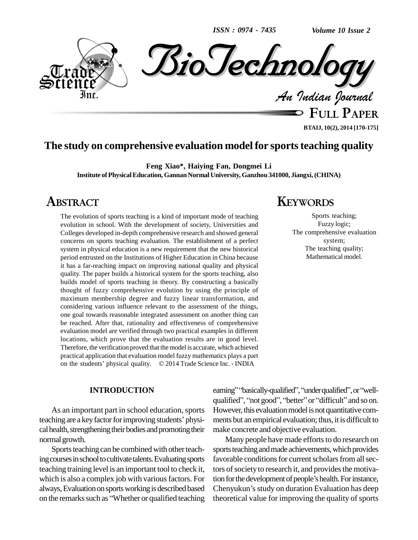*ISSN : 0974 - 7435*

*Volume 10 Issue 2*



**FULL PAPER BTAIJ, 10(2), 2014 [170-175]**

# **The study on comprehensive evaluation model for sportsteaching quality**

**Feng Xiao\*, Haiying Fan, Dongmei Li**

**Institute ofPhysicalEducation, GannanNormal University, Ganzhou 341000, Jiangxi,(CHINA)**

# **ABSTRACT**

The evolution of sports teaching is a kind of important mode of teaching evolution in school. With the development of society, Universities and Colleges developed in-depth comprehensive research and showed general concerns on sports teaching evaluation. The establishment of a perfect system in physical education is a new requirement that the new historical period entrusted on the Institutions of Higher Education in China because it has a far-reaching impact on improving national quality and physical quality. The paper builds a historical system for the sports teaching, also builds model of sports teaching in theory. By constructing a basically thought of fuzzy comprehensive evolution by using the principle of maximum membership degree and fuzzy linear transformation, and considering various influence relevant to the assessment of the things, one goal towards reasonable integrated assessment on another thing can be reached. After that, rationality and effectiveness of comprehensive evaluation model are verified through two practical examples in different locations, which prove that the evaluation results are in good level. Therefore, the verification proved that the model is accurate, which achieved practical application that evaluation model fuzzy mathematics plays a part Therefore, the verification proved that the model is accurate, which achieved<br>practical application that evaluation model fuzzy mathematics plays a part<br>on the students' physical quality. © 2014 Trade Science Inc. - INDIA

#### **INTRODUCTION**

As an important part in school education, sports cal health, strengthening their bodies and promoting their normal growth.

Sports teaching can be combined with other teaching courses in school to cultivate talents. Evaluating sports teaching training level is an important tool to check it, which is also a complex job with various factors. For tion for the development of people's health. For instance, always, Evaluation on sports working is described based Cheny which is also a complex job with various factors. For<br>always, Evaluation on sports working is described based Cheny<br>on the remarks such as "Whether or qualified teaching theoret

# **KEYWORDS**

Sports teaching; Fuzzy logic; The comprehensive evaluation system; The teaching quality; Mathematical model.

qualified", "not good", "better" or "difficult" and so on.<br>As an important part in school education, sports However, this evaluation model is not quantitative com-<br>teaching are a key factor for improving students' physi- m earning" "basically-qualified", "under qualified", or "wellearning" "basically-qualified", "under qualified", or "well-<br>qualified", "not good", "better" or "difficult" and so on. However, this evaluation model is not quantitative comments but an empirical evaluation; thus, it is difficult to make concrete and objective evaluation.

> Many people have made efforts to do research on sports teaching and made achievements, which provides favorable conditions for current scholars from all sectors of society to research it, and provides the motivafavorable conditions for current scholars from all sectors of society to research it, and provides the motivation for the development of people's health. For instance, Chenyukun's study on duration Evaluation has deep theoretical value for improving the quality of sports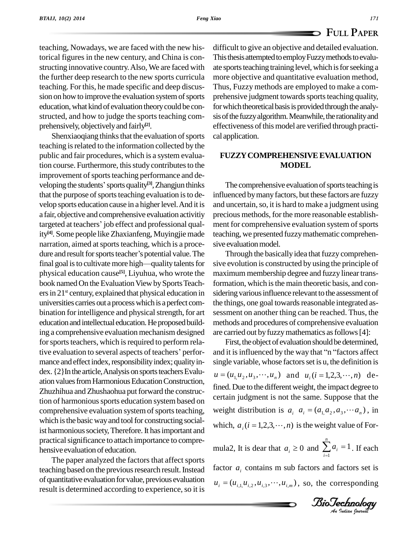teaching, Nowadays, we are faced with the new historical figures in the new century, and China is con structing innovative country. Also, We are faced with the further deep research to the new sports curricula teaching. Forthis, he made specific and deep discus sion on how to improve the evaluation system of sports education,whatkind of evaluation theorycould be con structed, and how to judge the sports teaching com prehensively, objectivelyand fairly **[2]**.

Shenxiaoqiang thinks that the evaluation of sports teaching is related to the information collected by the public and fair procedures, which is a system evaluation course. Furthermore, this study contributes to the improvement of sports teaching performance and detion course. Furthermore, this study contributes to the<br>improvement of sports teaching performance and de-<br>veloping the students' sports quality<sup>[3]</sup>, Zhangjun thinks that the purpose of sports teaching evaluation is to develop sports education cause in a higher level. And it is and u<br>a fair, objective and comprehensive evaluation activitiy preci<br>targeted at teachers' job effect and professional quala fair, objective and comprehensive evaluation activitiy ity<sup>[4]</sup>. Some people like Zhaxianfeng, Muyingjie made teaching<br>narration, aimed at sports teaching, which is a proce-sive ev<br>dure and result for sports teacher's potential value. The narration, aimed at sports teaching, which is a procedure and result for sports teacher's potential value. The<br>final goal is to cultivate more high—quality talents for physical education cause **[5]**, Liyuhua, who wrote the book named On the Evaluation View by Sports Teachers in 21<sup>st</sup> century, explained that physical education in sidering universities carries out aprocesswhichis aperfect com bination for intelligence and physical strength, for art education and intellectual education. He proposed building a comprehensive evaluation mechanism designed for sports teachers, which is required to perform relative evaluation to several aspects of teachers' performance and effect index, responsibility index; quality in $dex.$   $\{2\}$ In the article, Analysis on sports teachers Evaluation values from Harmonious Education Construction, Zhuzhihua and Zhushaohua put forward the construction of harmonious sports education system based on comprehensive evaluation system of sports teaching, which is the basic way and tool for constructing socialist harmonious society, Therefore. It has important and practical significance to attach importance to comprehensive evaluation of education.

The paper analyzed the factors that affect sports teaching based on the previous research result. Instead of quantitative evaluation for value, previous evaluation result is determined according to experience, so it is difficult to give an objective and detailed evaluation. This thesis attempted to employ Fuzzy methods to evaluate sports teaching training level, which is for seeking a more objective and quantitative evaluation method, Thus, Fuzzy methods are employed to make a com prehensive judgment towards sports teaching quality, for which theoretical basis is provided through the analysis of the fuzzy algorithm. Meanwhile, the rationality and effectiveness of this model are verified through practical application.

### **FUZZYCOMPREHENSIVEEVALUATION MODEL**

The comprehensive evaluation of sports teaching is influenced bymanyfactors, but these factors are fuzzy and uncertain,so, it is hard to make a judgment using precious methods, forthe more reasonable establish ment for comprehensive evaluation system of sports teaching, we presented fuzzymathematic comprehen sive evaluation model.

Through the basically idea that fuzzy comprehensive evolution is constructed by using the principle of maximum membership degree and fuzzy linear transformation, which is the main theoretic basis, and considering various influence relevant to the assessment of the things, one goal towards reasonable integrated assessment on another thing can be reached. Thus, the methods and procedures of comprehensive evaluation are carried out by fuzzy mathematics as follows [4]:

which,  $a_i$  ( $i = 1,2,3,\dots, n$ ) is the weight value of Forwhich,  $a_i$  (*i* = 1,2,3, ..., *n*) is the weight value of For-<br>mula2, It is dear that  $a_i \ge 0$  and  $\sum_{i=1}^{n} a_i = 1$ . If each First, the object of evaluation should be determined, and it is influenced by the way that "n "factors affect" single variable, whose factors set is u, the definition is and it is influenced by the way that "n "factors affect<br>single variable, whose factors set is u, the definition is<br> $u = (u_{1,}u_{2}, u_{3}, \dots, u_{n})$  and  $u_{i}$  ( $i = 1, 2, 3, \dots, n$ ) defined. Due to the different weight, the impact degree to certain judgment is not the same. Suppose that the fined. Due to the different weight, the impact degree to certain judgment is not the same. Suppose that the weight distribution is  $a_i \, a_i = (a_{i1}a_2, a_3, \dotsb a_n)$ , in istribution is  $a_i$   $a_i = (a_{1i}a_2, a_3, \dotsb, a_n)$ , in<br>  $i_i$  (*i* = 1,2,3,  $\dotsb$ , *n*) is the weight value of For-

*n i*  $a_i =$  $\int_{1}^{1} a_i = 1$ . If each factor  $a_i$  contains m sub factors and factors set is factor  $a_i$  contains m sub factors and factors set is  $u_i = (u_{i,1}, u_{i,2}, u_{i,3}, \dots, u_{i,m})$ , so, the corresponding

*<i>BioTechnology*<br>An Indian Journal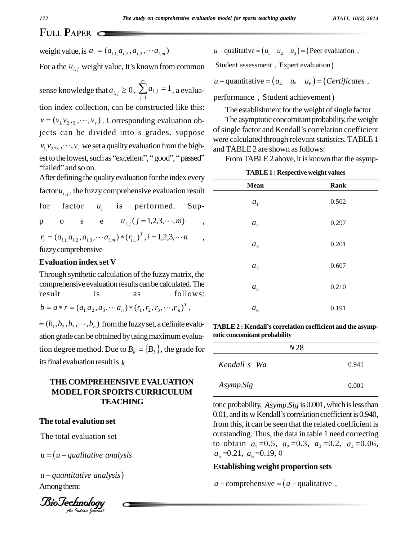# FULL PAPER

weight value, is  $a_i = (a_{i1} a_{i2}, a_{i3}, \cdots a_{i m})$ 

For a the  $u_{i,j}$  weight value, It's known from common

sense knowledge that  $a_{i,j} \ge 0$ ,  $\sum_{i=1}^{m} a_{i,j} = 1$ , a evaluation index collection, can be constructed like this:  $v = (v_1 v_2, \ldots, v_s)$ . Corresponding evaluation objects can be divided into s grades. suppose  $v_1v_2, \ldots, v_s$  we set a quality evaluation from the highest to the lowest, such as "excellent", "good", "passed" "failed" and so on.

After defining the quality evaluation for the index every factor  $u_{i,j}$ , the fuzzy comprehensive evaluation result

factor is performed.  $Sup$ for  $u_{i}$ e  $u_{i,j}$  (j = 1,2,3, ···, m)  $\mathbf{s}$  $\overline{O}$ p

 $r_i = (a_{i,1}, a_{i,2}, a_{i,3}, \cdots a_{i,m}) * (r_{i,1})^T$ ,  $i = 1,2,3,\cdots n$ fuzzy comprehensive

#### **Evaluation index set V**

Through synthetic calculation of the fuzzy matrix, the comprehensive evaluation results can be calculated. The result is follows:  $a<sub>S</sub>$  $b = a * r = (a_1 a_2, a_3, \cdots a_n) * (r_1, r_2, r_3, \cdots, r_n)^T$ ,

 $=(b_1, b_2, b_3, \dots, b_n)$  from the fuzzy set, a definite evaluation grade can be obtained by using maximum evaluation degree method. Due to  $B_i = \{B_i\}$ , the grade for its final evaluation result is  $k$ 

## THE COMPREHENSIVE EVALUATION **MODEL FOR SPORTS CURRICULUM TEACHING**

#### The total evalution set

The total evaluation set

 $u = (u - qualitative\ analysis)$ 

 $u$  – quantitative analysis) Among them:



 $u$  – qualitative =  $(u_1 \quad u_2 \quad u_3)$  = (Peer evaluation,

Student assessment, Expert evaluation)

 $u$  – quantitative =  $(u_a \quad u_5 \quad u_6)$  = (*Certificates*,

performance, Student achievement)

The establishment for the weight of single factor

The asymptotic concomitant probability, the weight of single factor and Kendall's correlation coefficient were calculated through relevant statistics. TABLE 1 and TABLE 2 are shown as follows:

From TABLE 2 above, it is known that the asymp-

| <b>TABLE 1: Respective weight values</b> |
|------------------------------------------|
|------------------------------------------|

| <b>Mean</b>        | Rank  |
|--------------------|-------|
| a <sub>1</sub>     | 0.502 |
| a <sub>2</sub>     | 0.297 |
| a <sub>3</sub>     | 0.201 |
| $\boldsymbol{a}_4$ | 0.607 |
| a <sub>5</sub>     | 0.210 |
| $a_{6}$            | 0.191 |

TABLE 2: Kendall's correlation coefficient and the asymptotic concomitant probability

| N28          |       |
|--------------|-------|
| Kendall's Wa | 0.941 |
| Asymp.Sig    | 0.001 |

totic probability, Asymp. Sig is 0.001, which is less than 0.01, and its w Kendall's correlation coefficient is 0.940, from this, it can be seen that the related coefficient is outstanding. Thus, the data in table 1 need correcting to obtain  $a_1 = 0.5$ ,  $a_2 = 0.3$ ,  $a_3 = 0.2$ ,  $a_4 = 0.06$ ,  $a_5 = 0.21$ ,  $a_6 = 0.19$ , 0

#### **Establishing weight proportion sets**

 $a$  – comprehensive =  $(a$  – qualitative,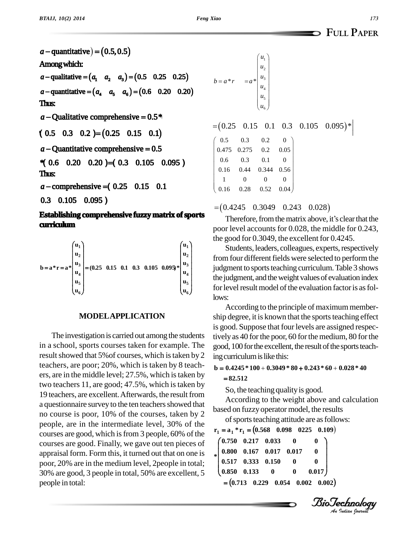## **FULL PAPER**

 $a$  – quantitative) =  $(0.5, 0.5)$ Among which: *a* – qualitative =  $(a_1 \ a_2 \ a_3)$  =  $(0.5 \ 0.25 \ 0.25)$ *a* – quantitative =  $(a_4 \ a_5 \ a_6)$  =  $(0.6 \ 0.20 \ 0.20)$ Thus:  $a -$ Qualitative comprehensive =  $0.5*$  $a -$ Qualitative comprehensive = 0.5\*<br>(0.5 0.3 0.2) = (0.25 0.15 0.1) (**0.5** 0.3 0.2)=(0.25 0.15 0.1)<br>  $a -$ Quantitative comprehensive = 0.5  $a - 0.25 = 0.25$ <br>  $a - 0.25 = 0.25$ *a* - Quantitative comprehensive = 0.5<br>  $\textbf{4}$  0.6 0.20 0.20)=(0.3 0.105 0.095) Thus: **Thus:**<br> *a* – comprehensive = (0.25 0.15 0.1 0.3 0.16 0.28 0.3 0.3 0.44 0.3 0.44 0.3 0.44 0.3 0.44 0.3 0.44 0.3 0.44 0.3 0.44 0.3 0.44 0.3 0.44 0.5 0.44 0.5 0.44 0.5 0.44 0.5 0.44 0.5 0.44 0.5 0.44 0.5 0.44 0.5 0.44 0.5  $a$  – comprehensive = (0.25 0.15 0.1 0.3 0.105 0.095)

#### **Establishing comprehensive fuzzy matrix of sports cur iculum** ٦

| $\mathbf{u}_1$<br>$\mathbf{u}_1$<br>$\mathbf{u}_2$<br>$\mathbf{u}_2$<br>$\mathbf{b} = \mathbf{a}^* \mathbf{r} = \mathbf{a}^* \begin{bmatrix} \mathbf{u}_3 \\ \mathbf{u}_2 \end{bmatrix} = (0.25 \quad 0.15 \quad 0.1 \quad 0.3 \quad 0.105 \quad 0.095)^* \begin{bmatrix} \mathbf{u}_3 \\ \mathbf{u}_4 \end{bmatrix}$<br>$u_4$<br>$\mathbf{u}_4$<br>$\mathbf{u}_5$<br>$u_{6}$ |  |
|-------------------------------------------------------------------------------------------------------------------------------------------------------------------------------------------------------------------------------------------------------------------------------------------------------------------------------------------------------------------------------|--|
|-------------------------------------------------------------------------------------------------------------------------------------------------------------------------------------------------------------------------------------------------------------------------------------------------------------------------------------------------------------------------------|--|

#### **MODELAPPLICATION**

The investigation is carried out among the students in a school, sports courses taken for example. The result showed that 5% of courses, which is taken by 2 teachers, are poor; 20%, which is taken by 8 teach ers, are in the middle level; 27.5%, which istaken by two teachers 11, are good; 47.5%, which is taken by 19 teachers, are excellent. Afterwards, the result from a questionnaire survey to the ten teachers showed that no course is poor, 10% of the courses, taken by 2 people, are in the intermediate level, 30% of the courses are good, which isfrom 3 people, 60% of the courses are good. Finally, we gave out ten pieces of appraisal form. Form this, it turned out that on one is poor, 20% are in the medium level, 2people in total; 30% are good, 3 people in total, 50% are excellent, 5 people in total:

| $b = a * r$                         | $=a*$            | $\begin{bmatrix} u_1 \\ u_2 \end{bmatrix}$<br>$u_{3}$<br>$\boldsymbol{u}_4$<br>$\begin{cases} u_5 \\ u_6 \end{cases}$ |                  |                                                                    |  |
|-------------------------------------|------------------|-----------------------------------------------------------------------------------------------------------------------|------------------|--------------------------------------------------------------------|--|
|                                     |                  |                                                                                                                       |                  | $=[0.25 \quad 0.15 \quad 0.1 \quad 0.3 \quad 0.105 \quad 0.095)*]$ |  |
| $\begin{pmatrix} 0.5 \end{pmatrix}$ | $0.3\,$          | 0.2                                                                                                                   | $\boldsymbol{0}$ |                                                                    |  |
| 0.475                               | 0.275            | $0.2\,$                                                                                                               | $0.05\,$         |                                                                    |  |
| 0.6                                 | 0.3              | 0.1                                                                                                                   | $\boldsymbol{0}$ |                                                                    |  |
| 0.16                                | 0.44             | 0.344                                                                                                                 | 0.56             |                                                                    |  |
| $\overline{1}$                      | $\boldsymbol{0}$ | $\boldsymbol{0}$                                                                                                      | $\boldsymbol{0}$ |                                                                    |  |
| $0.16\,$                            | 0.28             | 0.52                                                                                                                  | 0.04             |                                                                    |  |

 $= (0.4245 \quad 0.3049 \quad 0.243 \quad 0.028)$ 

Therefore, from the matrix above, it's clear that the poor level accounts for 0.028, the middle for 0.243, the good for  $0.3049$ , the excellent for  $0.4245$ .

Students, leaders, colleagues, experts, respectively from four different fields were selected to perform the judgment to sports teaching curriculum. Table 3 shows the judgment, and the weight values of evaluation index for level result model of the evaluation factor is as follows:

According to the principle of maximum membership degree, it is known that the sports teaching effect is good. Suppose that four levels are assigned respectively as 40 for the poor, 60 for the medium, 80 for the good, 100 for the excellent, the result of the sports teaching curriculum is like this: **b 0.4245 \* 100 0.3049 \* 80 0.243 \* 60 0.028 \* 40**  $\ddot{\phantom{0}}$ 

**82.512**

So, the teaching quality is good.

According to the weight above and calculation based on fuzzyoperator model, the results

of sports teaching attitude are as follows: on model, the results<br>attitude are as follows:<br> $(0.098 \quad 0.225 \quad 0.109)$ of sports teaching attitude are as f<br>of sports teaching attitude are as f<br> $r_1 = a_1 * r_1 = (0.568 \quad 0.098 \quad 0.225 \quad 0.198$ 

 $\text{tr}_1 = \text{a}_1 \cdot \text{r}_1 = (0.568 \quad 0.098 \quad 0225 \quad 0.109)$ 

|  | $*\begin{pmatrix} 0.750 & 0.217 & 0.033 & 0 \ 0.800 & 0.167 & 0.017 & 0.017 \ 0.517 & 0.333 & 0.150 & 0 \ 0.850 & 0.133 & 0 & 0 & 0 \end{pmatrix}$ | 0.017                                          |  |
|--|----------------------------------------------------------------------------------------------------------------------------------------------------|------------------------------------------------|--|
|  |                                                                                                                                                    | $=(0.713 \t 0.229 \t 0.054 \t 0.002 \t 0.002)$ |  |

*Indian Journal*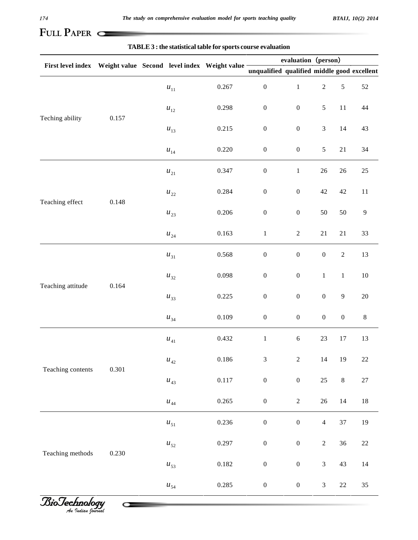# **FULL PAPER**

### **TABLE3 : the statistical table for sports course evaluation**

| First level index Weight value Second level index Weight value - |       |                             |           | evaluation (person)                         |                  |                  |                  |                |
|------------------------------------------------------------------|-------|-----------------------------|-----------|---------------------------------------------|------------------|------------------|------------------|----------------|
|                                                                  |       |                             |           | unqualified qualified middle good excellent |                  |                  |                  |                |
|                                                                  | 0.157 | $\boldsymbol{u}_{11}$       | 0.267     | $\boldsymbol{0}$                            | $\,1$            | $\sqrt{2}$       | $\sqrt{5}$       | $52\,$         |
|                                                                  |       | $\boldsymbol{u}_{12}$       | 0.298     | $\boldsymbol{0}$                            | $\boldsymbol{0}$ | $\mathfrak s$    | $11\,$           | $44\,$         |
| Teching ability                                                  |       | $u_{13}$                    | 0.215     | $\boldsymbol{0}$                            | $\boldsymbol{0}$ | $\mathfrak{Z}$   | $14$             | 43             |
|                                                                  |       | $\boldsymbol{u}_{14}$       | 0.220     | $\boldsymbol{0}$                            | $\boldsymbol{0}$ | $\sqrt{5}$       | $21\,$           | 34             |
|                                                                  | 0.148 | $u_{21}$                    | 0.347     | $\boldsymbol{0}$                            | $\,1$            | $26\,$           | $26\,$           | $25\,$         |
|                                                                  |       | $u_{22}$                    | 0.284     | $\boldsymbol{0}$                            | $\boldsymbol{0}$ | $42\,$           | 42               | 11             |
| Teaching effect                                                  |       | $u_{23}$                    | 0.206     | $\boldsymbol{0}$                            | $\boldsymbol{0}$ | $50\,$           | $50\,$           | $\overline{9}$ |
|                                                                  |       | $u_{\rm \,24}$              | 0.163     | $\,1$                                       | $\sqrt{2}$       | $21\,$           | $21\,$           | 33             |
|                                                                  | 0.164 | $u_{31}$                    | 0.568     | $\boldsymbol{0}$                            | $\boldsymbol{0}$ | $\boldsymbol{0}$ | $\sqrt{2}$       | 13             |
|                                                                  |       | $u_{32}$                    | 0.098     | $\boldsymbol{0}$                            | $\boldsymbol{0}$ | $\mathbf{1}$     | $\mathbf{1}$     | $10\,$         |
| Teaching attitude                                                |       | $u_{33}$                    | 0.225     | $\boldsymbol{0}$                            | $\boldsymbol{0}$ | $\boldsymbol{0}$ | $\boldsymbol{9}$ | $20\,$         |
|                                                                  |       | $u_{34}$                    | 0.109     | $\boldsymbol{0}$                            | $\boldsymbol{0}$ | $\boldsymbol{0}$ | $\boldsymbol{0}$ | $8\,$          |
|                                                                  | 0.301 | $u_{\scriptscriptstyle 41}$ | 0.432     | $\,1$                                       | $\sqrt{6}$       | $23\,$           | $17\,$           | 13             |
|                                                                  |       | $u_{\scriptscriptstyle 42}$ | $0.186\,$ | $\mathfrak{Z}$                              | $\overline{2}$   | $14\,$           | 19               | $22\,$         |
| Teaching contents                                                |       | $u_{43}$                    | $0.117\,$ | $\boldsymbol{0}$                            | $\boldsymbol{0}$ | 25               | $\,8\,$          | 27             |
|                                                                  |       | $u_{\scriptscriptstyle 44}$ | 0.265     | $\boldsymbol{0}$                            | $\sqrt{2}$       | $26\,$           | $14\,$           | $18\,$         |
|                                                                  |       | $u_{\mathfrak{s}_1}$        | 0.236     | $\boldsymbol{0}$                            | $\boldsymbol{0}$ | $\overline{4}$   | 37               | 19             |
|                                                                  | 0.230 | $u_{52}$                    | 0.297     | $\boldsymbol{0}$                            | $\boldsymbol{0}$ | $\sqrt{2}$       | 36               | $22\,$         |
| Teaching methods                                                 |       | $u_{53}$                    | 0.182     | $\boldsymbol{0}$                            | $\boldsymbol{0}$ | $\mathfrak{Z}$   | 43               | $14\,$         |
|                                                                  |       | $u_{\scriptscriptstyle 54}$ | 0.285     | $\boldsymbol{0}$                            | $\boldsymbol{0}$ | $\mathfrak{Z}$   | $22\,$           | 35             |

*Indian Journal*

Ĥ